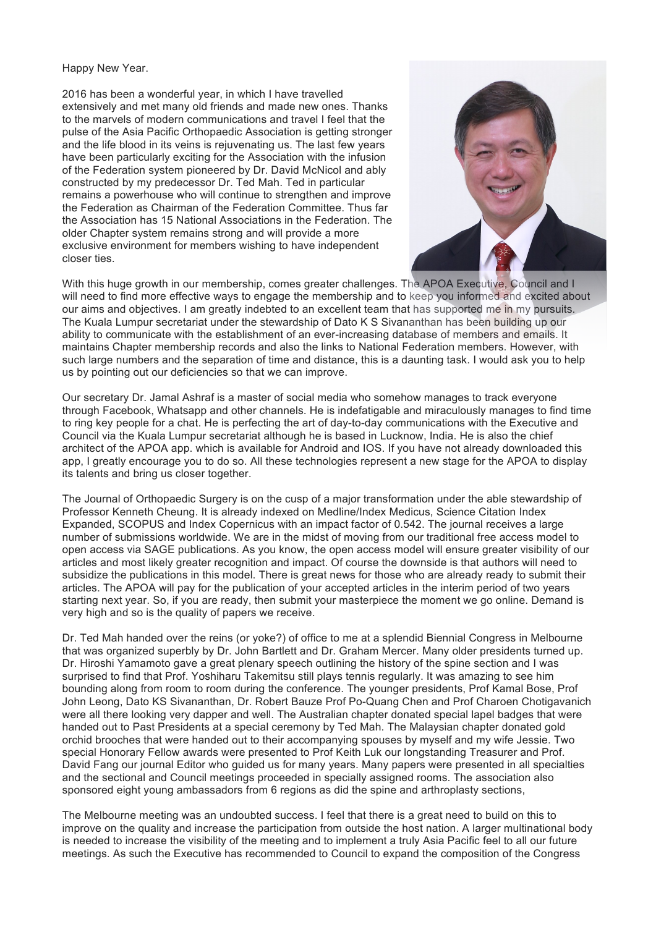Happy New Year.

2016 has been a wonderful year, in which I have travelled extensively and met many old friends and made new ones. Thanks to the marvels of modern communications and travel I feel that the pulse of the Asia Pacific Orthopaedic Association is getting stronger and the life blood in its veins is rejuvenating us. The last few years have been particularly exciting for the Association with the infusion of the Federation system pioneered by Dr. David McNicol and ably constructed by my predecessor Dr. Ted Mah. Ted in particular remains a powerhouse who will continue to strengthen and improve the Federation as Chairman of the Federation Committee. Thus far the Association has 15 National Associations in the Federation. The older Chapter system remains strong and will provide a more exclusive environment for members wishing to have independent closer ties.



With this huge growth in our membership, comes greater challenges. The APOA Executive, Council and I will need to find more effective ways to engage the membership and to keep you informed and excited about our aims and objectives. I am greatly indebted to an excellent team that has supported me in my pursuits. The Kuala Lumpur secretariat under the stewardship of Dato K S Sivananthan has been building up our ability to communicate with the establishment of an ever-increasing database of members and emails. It maintains Chapter membership records and also the links to National Federation members. However, with such large numbers and the separation of time and distance, this is a daunting task. I would ask you to help us by pointing out our deficiencies so that we can improve.

Our secretary Dr. Jamal Ashraf is a master of social media who somehow manages to track everyone through Facebook, Whatsapp and other channels. He is indefatigable and miraculously manages to find time to ring key people for a chat. He is perfecting the art of day-to-day communications with the Executive and Council via the Kuala Lumpur secretariat although he is based in Lucknow, India. He is also the chief architect of the APOA app. which is available for Android and IOS. If you have not already downloaded this app, I greatly encourage you to do so. All these technologies represent a new stage for the APOA to display its talents and bring us closer together.

The Journal of Orthopaedic Surgery is on the cusp of a major transformation under the able stewardship of Professor Kenneth Cheung. It is already indexed on Medline/Index Medicus, Science Citation Index Expanded, SCOPUS and Index Copernicus with an impact factor of 0.542. The journal receives a large number of submissions worldwide. We are in the midst of moving from our traditional free access model to open access via SAGE publications. As you know, the open access model will ensure greater visibility of our articles and most likely greater recognition and impact. Of course the downside is that authors will need to subsidize the publications in this model. There is great news for those who are already ready to submit their articles. The APOA will pay for the publication of your accepted articles in the interim period of two years starting next year. So, if you are ready, then submit your masterpiece the moment we go online. Demand is very high and so is the quality of papers we receive.

Dr. Ted Mah handed over the reins (or yoke?) of office to me at a splendid Biennial Congress in Melbourne that was organized superbly by Dr. John Bartlett and Dr. Graham Mercer. Many older presidents turned up. Dr. Hiroshi Yamamoto gave a great plenary speech outlining the history of the spine section and I was surprised to find that Prof. Yoshiharu Takemitsu still plays tennis regularly. It was amazing to see him bounding along from room to room during the conference. The younger presidents, Prof Kamal Bose, Prof John Leong, Dato KS Sivananthan, Dr. Robert Bauze Prof Po-Quang Chen and Prof Charoen Chotigavanich were all there looking very dapper and well. The Australian chapter donated special lapel badges that were handed out to Past Presidents at a special ceremony by Ted Mah. The Malaysian chapter donated gold orchid brooches that were handed out to their accompanying spouses by myself and my wife Jessie. Two special Honorary Fellow awards were presented to Prof Keith Luk our longstanding Treasurer and Prof. David Fang our journal Editor who guided us for many years. Many papers were presented in all specialties and the sectional and Council meetings proceeded in specially assigned rooms. The association also sponsored eight young ambassadors from 6 regions as did the spine and arthroplasty sections,

The Melbourne meeting was an undoubted success. I feel that there is a great need to build on this to improve on the quality and increase the participation from outside the host nation. A larger multinational body is needed to increase the visibility of the meeting and to implement a truly Asia Pacific feel to all our future meetings. As such the Executive has recommended to Council to expand the composition of the Congress